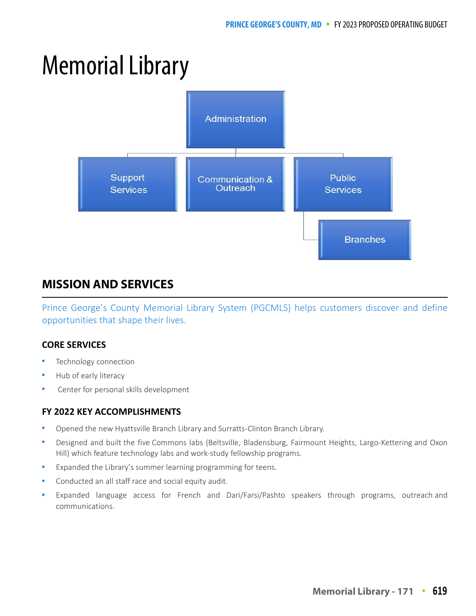# Memorial Library



# **MISSION AND SERVICES**

Prince George's County Memorial Library System (PGCMLS) helps customers discover and define opportunities that shape their lives.

# **CORE SERVICES**

- Technology connection
- Hub of early literacy
- Center for personal skills development

# **FY 2022 KEY ACCOMPLISHMENTS**

- Opened the new Hyattsville Branch Library and Surratts-Clinton Branch Library.
- Designed and built the five Commons labs (Beltsville, Bladensburg, Fairmount Heights, Largo-Kettering and Oxon Hill) which feature technology labs and work-study fellowship programs.
- Expanded the Library's summer learning programming for teens.
- Conducted an all staff race and social equity audit.
- Expanded language access for French and Dari/Farsi/Pashto speakers through programs, outreach and communications.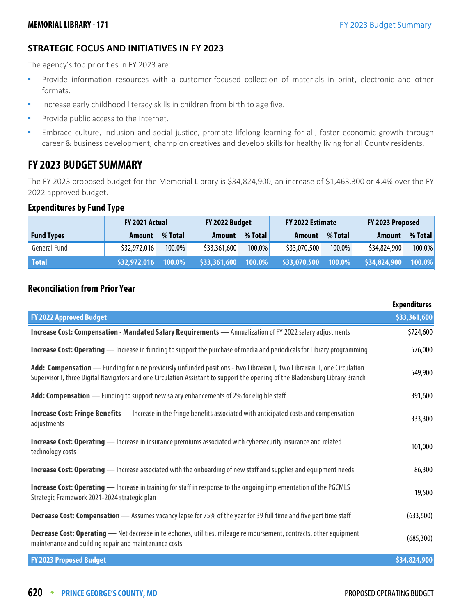## **STRATEGIC FOCUS AND INITIATIVES IN FY 2023**

The agency's top priorities in FY 2023 are:

- **Provide information resources with a customer-focused collection of materials in print, electronic and other** formats.
- Increase early childhood literacy skills in children from birth to age five.
- Provide public access to the Internet.
- **Embrace culture, inclusion and social justice, promote lifelong learning for all, foster economic growth through** career & business development, champion creatives and develop skills for healthy living for all County residents.

# **FY 2023 BUDGET SUMMARY**

The FY 2023 proposed budget for the Memorial Library is \$34,824,900, an increase of \$1,463,300 or 4.4% over the FY 2022 approved budget.

#### **Expenditures by Fund Type**

|                   | <b>FY 2021 Actual</b> |         | FY 2022 Budget |         | FY 2022 Estimate |         | FY 2023 Proposed |         |
|-------------------|-----------------------|---------|----------------|---------|------------------|---------|------------------|---------|
| <b>Fund Types</b> | Amount                | % Total | Amount         | % Total | Amount           | % Total | Amount           | % Total |
| General Fund      | \$32,972,016          | 100.0%  | \$33,361,600   | 100.0%  | \$33,070,500     | 100.0%  | \$34,824,900     | 100.0%  |
| <b>Total</b>      | \$32,972,016          | 100.0%  | \$33,361,600   | 100.0%  | \$33,070,500     | 100.0%  | \$34,824,900     | 100.0%  |

# **Reconciliation from Prior Year**

|                                                                                                                                                                                                                                                          | <b>Expenditures</b> |
|----------------------------------------------------------------------------------------------------------------------------------------------------------------------------------------------------------------------------------------------------------|---------------------|
| <b>FY 2022 Approved Budget</b>                                                                                                                                                                                                                           | \$33,361,600        |
| Increase Cost: Compensation - Mandated Salary Requirements - Annualization of FY 2022 salary adjustments                                                                                                                                                 | \$724,600           |
| <b>Increase Cost: Operating</b> — Increase in funding to support the purchase of media and periodicals for Library programming                                                                                                                           | 576,000             |
| Add: Compensation — Funding for nine previously unfunded positions - two Librarian I, two Librarian II, one Circulation<br>Supervisor I, three Digital Navigators and one Circulation Assistant to support the opening of the Bladensburg Library Branch | 549,900             |
| Add: Compensation - Funding to support new salary enhancements of 2% for eligible staff                                                                                                                                                                  | 391,600             |
| Increase Cost: Fringe Benefits - Increase in the fringe benefits associated with anticipated costs and compensation<br>adjustments                                                                                                                       | 333,300             |
| <b>Increase Cost: Operating</b> — Increase in insurance premiums associated with cybersecurity insurance and related<br>technology costs                                                                                                                 | 101,000             |
| <b>Increase Cost: Operating</b> — Increase associated with the onboarding of new staff and supplies and equipment needs                                                                                                                                  | 86,300              |
| <b>Increase Cost: Operating</b> — Increase in training for staff in response to the ongoing implementation of the PGCMLS<br>Strategic Framework 2021-2024 strategic plan                                                                                 | 19,500              |
| <b>Decrease Cost: Compensation</b> - Assumes vacancy lapse for 75% of the year for 39 full time and five part time staff                                                                                                                                 | (633, 600)          |
| Decrease Cost: Operating - Net decrease in telephones, utilities, mileage reimbursement, contracts, other equipment<br>maintenance and building repair and maintenance costs                                                                             | (685, 300)          |
| <b>FY 2023 Proposed Budget</b>                                                                                                                                                                                                                           | \$34,824,900        |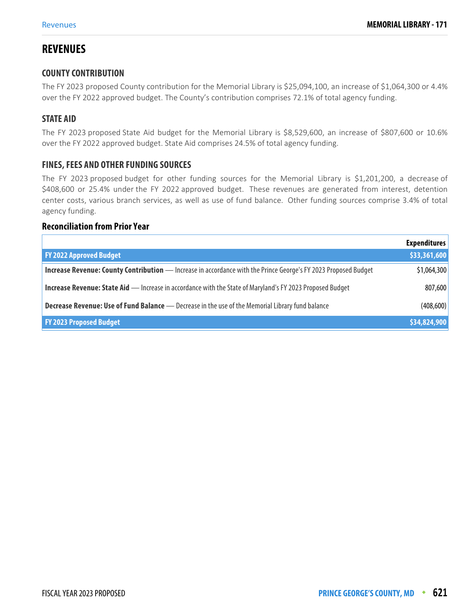# **REVENUES**

#### **COUNTY CONTRIBUTION**

The FY 2023 proposed County contribution for the Memorial Library is \$25,094,100, an increase of \$1,064,300 or 4.4% over the FY 2022 approved budget. The County's contribution comprises 72.1% of total agency funding.

## **STATE AID**

The FY 2023 proposed State Aid budget for the Memorial Library is \$8,529,600, an increase of \$807,600 or 10.6% over the FY 2022 approved budget. State Aid comprises 24.5% of total agency funding.

## **FINES, FEES AND OTHER FUNDING SOURCES**

The FY 2023 proposed budget for other funding sources for the Memorial Library is \$1,201,200, a decrease of \$408,600 or 25.4% under the FY 2022 approved budget. These revenues are generated from interest, detention center costs, various branch services, as well as use of fund balance. Other funding sources comprise 3.4% of total agency funding.

#### **Reconciliation from Prior Year**

|                                                                                                                 | <b>Expenditures</b> |
|-----------------------------------------------------------------------------------------------------------------|---------------------|
| <b>FY 2022 Approved Budget</b>                                                                                  | \$33,361,600        |
| Increase Revenue: County Contribution - Increase in accordance with the Prince George's FY 2023 Proposed Budget | \$1,064,300         |
| Increase Revenue: State Aid - Increase in accordance with the State of Maryland's FY 2023 Proposed Budget       | 807,600             |
| <b>Decrease Revenue: Use of Fund Balance</b> - Decrease in the use of the Memorial Library fund balance         | (408, 600)          |
| <b>FY 2023 Proposed Budget</b>                                                                                  | \$34,824,900        |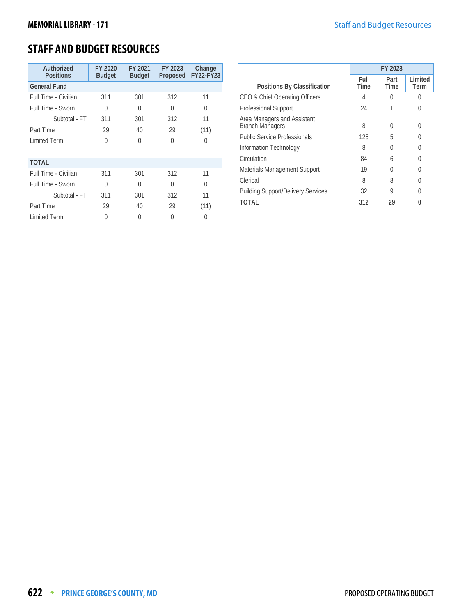# **STAFF AND BUDGET RESOURCES**

| Authorized<br><b>Positions</b> | FY 2020<br><b>Budget</b> | FY 2021<br><b>Budget</b> | FY 2023<br>Proposed | Change<br><b>FY22-FY23</b> |
|--------------------------------|--------------------------|--------------------------|---------------------|----------------------------|
| <b>General Fund</b>            |                          |                          |                     |                            |
| Full Time - Civilian           | 311                      | 301                      | 312                 | 11                         |
| Full Time - Sworn              | 0                        | 0                        | $\Omega$            | 0                          |
| Subtotal - FT                  | 311                      | 301                      | 312                 | 11                         |
| Part Time                      | 29                       | 40                       | 29                  | (11)                       |
| <b>Limited Term</b>            | $\Omega$                 | O                        | $\Omega$            | 0                          |
| <b>TOTAL</b>                   |                          |                          |                     |                            |
| Full Time - Civilian           | 311                      | 301                      | 312                 | 11                         |
| Full Time - Sworn              | O                        | O                        | 0                   | $\Omega$                   |
| Subtotal - FT                  | 311                      | 301                      | 312                 | 11                         |
| Part Time                      | 29                       | 40                       | 29                  | (11)                       |
| <b>Limited Term</b>            | 0                        | 0                        | 0                   | 0                          |

|                                                       | FY 2023      |              |                 |
|-------------------------------------------------------|--------------|--------------|-----------------|
| Positions By Classification                           | Full<br>Time | Part<br>Time | Limited<br>Term |
| CEO & Chief Operating Officers                        | 4            | 0            | U               |
| <b>Professional Support</b>                           | 24           |              | 0               |
| Area Managers and Assistant<br><b>Branch Managers</b> | 8            | 0            | 0               |
| <b>Public Service Professionals</b>                   | 125          | 5            | U               |
| Information Technology                                | 8            | 0            | U               |
| Circulation                                           | 84           | 6            | 0               |
| Materials Management Support                          | 19           | 0            | U               |
| Clerical                                              | 8            | 8            | 0               |
| <b>Building Support/Delivery Services</b>             | 32           | 9            | U               |
| TOTAL                                                 | 312          | 29           |                 |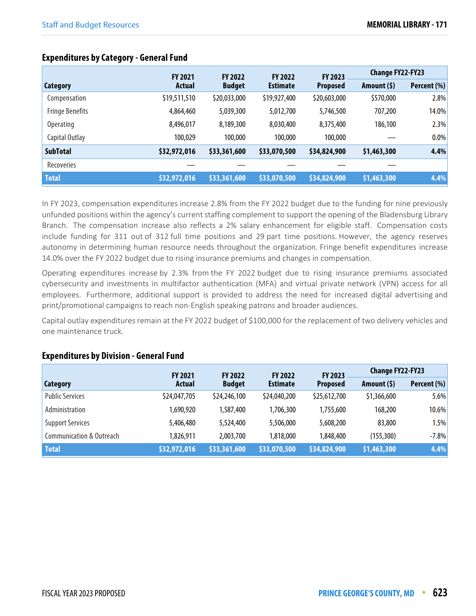|                        | <b>FY 2021</b> | <b>FY 2022</b> | <b>FY 2022</b>  | <b>FY 2023</b>  | <b>Change FY22-FY23</b> |             |
|------------------------|----------------|----------------|-----------------|-----------------|-------------------------|-------------|
| <b>Category</b>        | <b>Actual</b>  | <b>Budget</b>  | <b>Estimate</b> | <b>Proposed</b> | Amount (\$)             | Percent (%) |
| Compensation           | \$19,511,510   | \$20,033,000   | \$19,927,400    | \$20,603,000    | \$570,000               | 2.8%        |
| <b>Fringe Benefits</b> | 4,864,460      | 5,039,300      | 5,012,700       | 5,746,500       | 707,200                 | 14.0%       |
| <b>Operating</b>       | 8,496,017      | 8,189,300      | 8,030,400       | 8,375,400       | 186,100                 | 2.3%        |
| Capital Outlay         | 100,029        | 100,000        | 100,000         | 100,000         |                         | 0.0%        |
| <b>SubTotal</b>        | \$32,972,016   | \$33,361,600   | \$33,070,500    | \$34,824,900    | \$1,463,300             | 4.4%        |
| <b>Recoveries</b>      |                |                |                 |                 |                         |             |
| <b>Total</b>           | \$32,972,016   | \$33,361,600   | \$33,070,500    | \$34,824,900    | \$1,463,300             | 4.4%        |

# **Expenditures by Category - General Fund**

In FY 2023, compensation expenditures increase 2.8% from the FY 2022 budget due to the funding for nine previously unfunded positions within the agency's current staffing complement to support the opening of the Bladensburg Library Branch. The compensation increase also reflects a 2% salary enhancement for eligible staff. Compensation costs include funding for 311 out of 312 full time positions and 29 part time positions. However, the agency reserves autonomy in determining human resource needs throughout the organization. Fringe benefit expenditures increase 14.0% over the FY 2022 budget due to rising insurance premiums and changes in compensation.

Operating expenditures increase by 2.3% from the FY 2022 budget due to rising insurance premiums associated cybersecurity and investments in multifactor authentication (MFA) and virtual private network (VPN) access for all employees. Furthermore, additional support is provided to address the need for increased digital advertising and print/promotional campaigns to reach non-English speaking patrons and broader audiences.

Capital outlay expenditures remain at the FY 2022 budget of \$100,000 for the replacement of two delivery vehicles and one maintenance truck.

|                                     | <b>FY 2021</b> | <b>FY 2022</b> | <b>FY 2022</b>  | FY 2023         | <b>Change FY22-FY23</b> |             |
|-------------------------------------|----------------|----------------|-----------------|-----------------|-------------------------|-------------|
| Category                            | Actual         | <b>Budget</b>  | <b>Estimate</b> | <b>Proposed</b> | Amount $(5)$            | Percent (%) |
| <b>Public Services</b>              | \$24,047,705   | \$24,246,100   | \$24,040,200    | \$25,612,700    | \$1,366,600             | 5.6%        |
| Administration                      | 1,690,920      | 1,587,400      | 1,706,300       | 1,755,600       | 168,200                 | 10.6%       |
| <b>Support Services</b>             | 5,406,480      | 5,524,400      | 5,506,000       | 5,608,200       | 83,800                  | 1.5%        |
| <b>Communication &amp; Outreach</b> | 1,826,911      | 2,003,700      | 1,818,000       | 1,848,400       | (155, 300)              | $-7.8%$     |
| <b>Total</b>                        | \$32,972,016   | \$33,361,600   | \$33,070,500    | \$34,824,900    | \$1,463,300             | 4.4%        |

#### **Expenditures by Division - General Fund**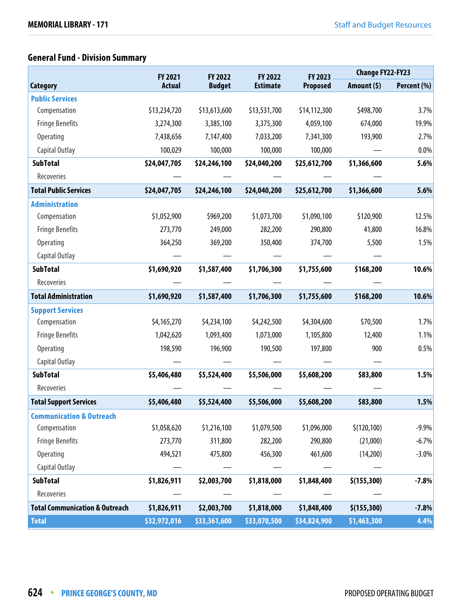# **General Fund - Division Summary**

|                                           | FY 2022<br>FY 2021<br><b>FY 2022</b> |               | FY 2023         | <b>Change FY22-FY23</b> |              |             |
|-------------------------------------------|--------------------------------------|---------------|-----------------|-------------------------|--------------|-------------|
| <b>Category</b>                           | <b>Actual</b>                        | <b>Budget</b> | <b>Estimate</b> | Proposed                | Amount (\$)  | Percent (%) |
| <b>Public Services</b>                    |                                      |               |                 |                         |              |             |
| Compensation                              | \$13,234,720                         | \$13,613,600  | \$13,531,700    | \$14,112,300            | \$498,700    | 3.7%        |
| <b>Fringe Benefits</b>                    | 3,274,300                            | 3,385,100     | 3,375,300       | 4,059,100               | 674,000      | 19.9%       |
| <b>Operating</b>                          | 7,438,656                            | 7,147,400     | 7,033,200       | 7,341,300               | 193,900      | 2.7%        |
| Capital Outlay                            | 100,029                              | 100,000       | 100,000         | 100,000                 |              | $0.0\%$     |
| <b>SubTotal</b>                           | \$24,047,705                         | \$24,246,100  | \$24,040,200    | \$25,612,700            | \$1,366,600  | 5.6%        |
| Recoveries                                |                                      |               |                 |                         |              |             |
| <b>Total Public Services</b>              | \$24,047,705                         | \$24,246,100  | \$24,040,200    | \$25,612,700            | \$1,366,600  | 5.6%        |
| <b>Administration</b>                     |                                      |               |                 |                         |              |             |
| Compensation                              | \$1,052,900                          | \$969,200     | \$1,073,700     | \$1,090,100             | \$120,900    | 12.5%       |
| <b>Fringe Benefits</b>                    | 273,770                              | 249,000       | 282,200         | 290,800                 | 41,800       | 16.8%       |
| <b>Operating</b>                          | 364,250                              | 369,200       | 350,400         | 374,700                 | 5,500        | 1.5%        |
| Capital Outlay                            |                                      |               |                 |                         |              |             |
| <b>SubTotal</b>                           | \$1,690,920                          | \$1,587,400   | \$1,706,300     | \$1,755,600             | \$168,200    | 10.6%       |
| Recoveries                                |                                      |               |                 |                         |              |             |
| <b>Total Administration</b>               | \$1,690,920                          | \$1,587,400   | \$1,706,300     | \$1,755,600             | \$168,200    | 10.6%       |
| <b>Support Services</b>                   |                                      |               |                 |                         |              |             |
| Compensation                              | \$4,165,270                          | \$4,234,100   | \$4,242,500     | \$4,304,600             | \$70,500     | 1.7%        |
| <b>Fringe Benefits</b>                    | 1,042,620                            | 1,093,400     | 1,073,000       | 1,105,800               | 12,400       | 1.1%        |
| <b>Operating</b>                          | 198,590                              | 196,900       | 190,500         | 197,800                 | 900          | 0.5%        |
| Capital Outlay                            |                                      |               |                 |                         |              |             |
| <b>SubTotal</b>                           | \$5,406,480                          | \$5,524,400   | \$5,506,000     | \$5,608,200             | \$83,800     | 1.5%        |
| Recoveries                                |                                      |               |                 |                         |              |             |
| <b>Total Support Services</b>             | \$5,406,480                          | \$5,524,400   | \$5,506,000     | \$5,608,200             | \$83,800     | 1.5%        |
| Communication & Outreach                  |                                      |               |                 |                         |              |             |
| Compensation                              | \$1,058,620                          | \$1,216,100   | \$1,079,500     | \$1,096,000             | \$(120, 100) | $-9.9\%$    |
| <b>Fringe Benefits</b>                    | 273,770                              | 311,800       | 282,200         | 290,800                 | (21,000)     | $-6.7%$     |
| <b>Operating</b>                          | 494,521                              | 475,800       | 456,300         | 461,600                 | (14,200)     | $-3.0%$     |
| Capital Outlay                            |                                      |               |                 |                         |              |             |
| <b>SubTotal</b>                           | \$1,826,911                          | \$2,003,700   | \$1,818,000     | \$1,848,400             | \$(155,300)  | $-7.8%$     |
| Recoveries                                |                                      |               |                 |                         |              |             |
| <b>Total Communication &amp; Outreach</b> | \$1,826,911                          | \$2,003,700   | \$1,818,000     | \$1,848,400             | \$(155,300)  | $-7.8%$     |
| <b>Total</b>                              | \$32,972,016                         | \$33,361,600  | \$33,070,500    | \$34,824,900            | \$1,463,300  | 4.4%        |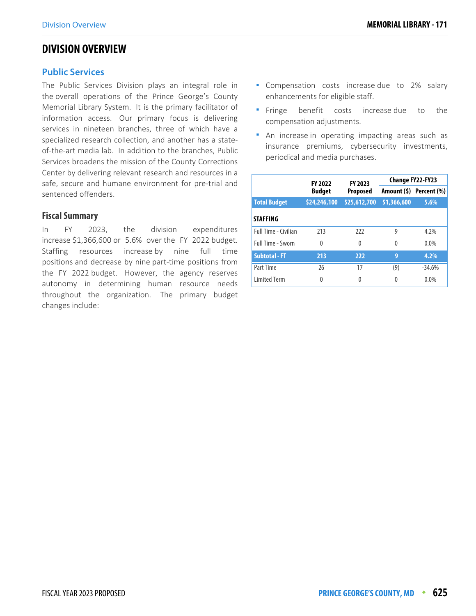# **DIVISION OVERVIEW**

#### **Public Services**

The Public Services Division plays an integral role in the overall operations of the Prince George's County Memorial Library System. It is the primary facilitator of information access. Our primary focus is delivering services in nineteen branches, three of which have a specialized research collection, and another has a stateof-the-art media lab. In addition to the branches, Public Services broadens the mission of the County Corrections Center by delivering relevant research and resources in a safe, secure and humane environment for pre-trial and sentenced offenders.

#### **Fiscal Summary**

In FY 2023, the division expenditures increase \$1,366,600 or 5.6% over the FY 2022 budget. Staffing resources increase by nine full time positions and decrease by nine part-time positions from the FY 2022 budget. However, the agency reserves autonomy in determining human resource needs throughout the organization. The primary budget changes include:

- **Compensation costs increase due to 2% salary** enhancements for eligible staff.
- **Finge** benefit costs increase due to the compensation adjustments.
- An increase in operating impacting areas such as insurance premiums, cybersecurity investments, periodical and media purchases.

|                          | <b>FY 2022</b>                   | FY 2023      | <b>Change FY22-FY23</b> |                         |  |
|--------------------------|----------------------------------|--------------|-------------------------|-------------------------|--|
|                          | <b>Budget</b><br><b>Proposed</b> |              |                         | Amount (\$) Percent (%) |  |
| <b>Total Budget</b>      | \$24,246,100                     | \$25,612,700 | \$1,366,600             | 5.6%                    |  |
| <b>STAFFING</b>          |                                  |              |                         |                         |  |
| Full Time - Civilian     | 213                              | 777          | 9                       | 4.2%                    |  |
| <b>Full Time - Sworn</b> | 0                                | $\theta$     | 0                       | 0.0%                    |  |
| <b>Subtotal - FT</b>     | 213                              | 222          | 9                       | 4.2%                    |  |
| Part Time                | 26                               | 17           | (9)                     | $-34.6%$                |  |
| <b>Limited Term</b>      | 0                                | 0            | 0                       | 0.0%                    |  |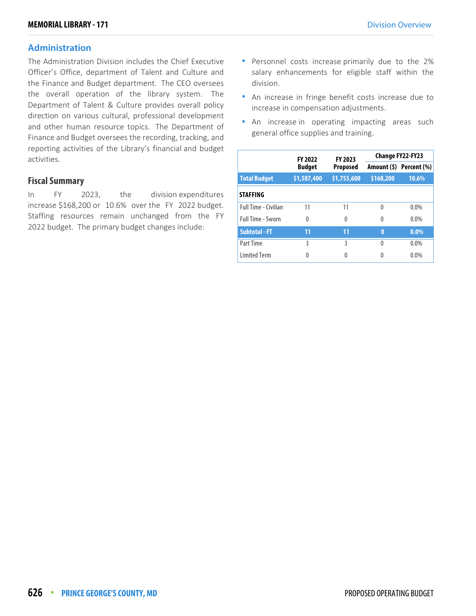#### **Administration**

The Administration Division includes the Chief Executive Officer's Office, department of Talent and Culture and the Finance and Budget department. The CEO oversees the overall operation of the library system. The Department of Talent & Culture provides overall policy direction on various cultural, professional development and other human resource topics. The Department of Finance and Budget oversees the recording, tracking, and reporting activities of the Library's financial and budget activities.

## **Fiscal Summary**

In FY 2023, the division expenditures increase \$168,200 or 10.6% over the FY 2022 budget. Staffing resources remain unchanged from the FY 2022 budget. The primary budget changes include:

- **Personnel costs increase primarily due to the 2%** salary enhancements for eligible staff within the division.
- An increase in fringe benefit costs increase due to increase in compensation adjustments.
- **An** increase in operating impacting areas such general office supplies and training.

|                             | <b>FY 2022</b>                   | FY 2023     |           | Change FY22-FY23        |  |
|-----------------------------|----------------------------------|-------------|-----------|-------------------------|--|
|                             | <b>Budget</b><br><b>Proposed</b> |             |           | Amount (\$) Percent (%) |  |
| <b>Total Budget</b>         | \$1,587,400                      | \$1,755,600 | \$168,200 | 10.6%                   |  |
| <b>STAFFING</b>             |                                  |             |           |                         |  |
| <b>Full Time - Civilian</b> | 11                               | 11          | $\Omega$  | $0.0\%$                 |  |
| <b>Full Time - Sworn</b>    | 0                                | $\Omega$    | $\Omega$  | $0.0\%$                 |  |
| <b>Subtotal - FT</b>        | 11                               | 11          | $\bf{0}$  | $0.0\%$                 |  |
| Part Time                   | ξ                                | ξ           | 0         | 0.0%                    |  |
| <b>Limited Term</b>         | 0                                | 0           |           | 0.0%                    |  |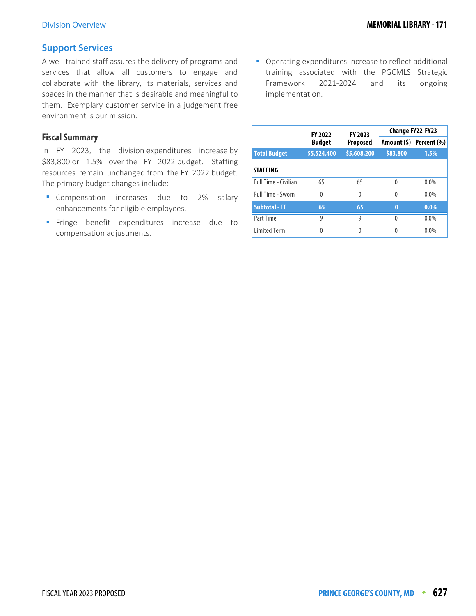#### **Support Services**

A well-trained staff assures the delivery of programs and services that allow all customers to engage and collaborate with the library, its materials, services and spaces in the manner that is desirable and meaningful to them. Exemplary customer service in a judgement free environment is our mission.

#### **Fiscal Summary**

In FY 2023, the division expenditures increase by \$83,800 or 1.5% over the FY 2022 budget. Staffing resources remain unchanged from the FY 2022 budget. The primary budget changes include:

- **Compensation** increases due to 2% salary enhancements for eligible employees.
- **Finge benefit expenditures increase due to** compensation adjustments.

 Operating expenditures increase to reflect additional training associated with the PGCMLS Strategic Framework 2021-2024 and its ongoing implementation.

|                             | <b>FY 2022</b>                   | FY 2023     |          | <b>Change FY22-FY23</b> |
|-----------------------------|----------------------------------|-------------|----------|-------------------------|
|                             | <b>Budget</b><br><b>Proposed</b> |             |          | Amount (\$) Percent (%) |
| <b>Total Budget</b>         | \$5,524,400                      | \$5,608,200 | \$83,800 | 1.5%                    |
| <b>STAFFING</b>             |                                  |             |          |                         |
| <b>Full Time - Civilian</b> | 65                               | 65          | $\Omega$ | 0.0%                    |
| <b>Full Time - Sworn</b>    | 0                                | $\theta$    | 0        | 0.0%                    |
| <b>Subtotal - FT</b>        | 65                               | 65          | $\bf{0}$ | $0.0\%$                 |
| Part Time                   | 9                                | 9           | $\theta$ | 0.0%                    |
| <b>Limited Term</b>         | 0                                | 0           | 0        | $0.0\%$                 |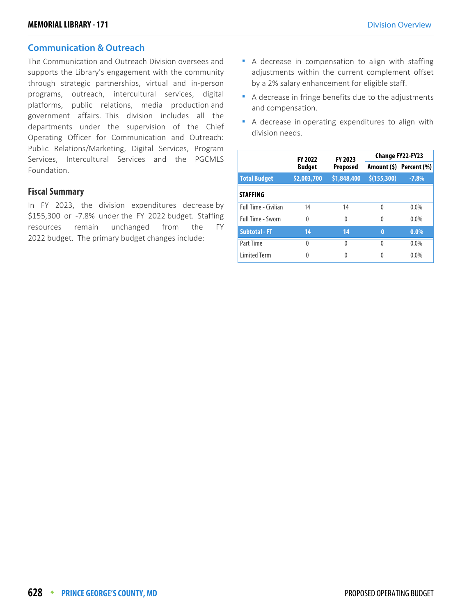#### **Communication & Outreach**

The Communication and Outreach Division oversees and supports the Library's engagement with the community through strategic partnerships, virtual and in-person programs, outreach, intercultural services, digital platforms, public relations, media production and government affairs. This division includes all the departments under the supervision of the Chief Operating Officer for Communication and Outreach: Public Relations/Marketing, Digital Services, Program Services, Intercultural Services and the PGCMLS Foundation.

#### **Fiscal Summary**

In FY 2023, the division expenditures decrease by \$155,300 or -7.8% under the FY 2022 budget. Staffing resources remain unchanged from the FY 2022 budget. The primary budget changes include:

- A decrease in compensation to align with staffing adjustments within the current complement offset by a 2% salary enhancement for eligible staff.
- A decrease in fringe benefits due to the adjustments and compensation.
- A decrease in operating expenditures to align with division needs.

|                          |                           | <b>FY 2023</b><br><b>FY 2022</b> |             | <b>Change FY22-FY23</b> |  |  |
|--------------------------|---------------------------|----------------------------------|-------------|-------------------------|--|--|
|                          | <b>Budget</b><br>Proposed |                                  |             | Amount (\$) Percent (%) |  |  |
| <b>Total Budget</b>      | \$2,003,700               | \$1,848,400                      | \$(155,300) | $-7.8%$                 |  |  |
| <b>STAFFING</b>          |                           |                                  |             |                         |  |  |
| Full Time - Civilian     | 14                        | 14                               | 0           | $0.0\%$                 |  |  |
| <b>Full Time - Sworn</b> | 0                         | 0                                | 0           | $0.0\%$                 |  |  |
| <b>Subtotal - FT</b>     | 14                        | 14                               | $\bf{0}$    | $0.0\%$                 |  |  |
| Part Time                | $\Omega$                  | $\Omega$                         | 0           | $0.0\%$                 |  |  |
| <b>Limited Term</b>      | 0                         | 0                                |             | 0.0%                    |  |  |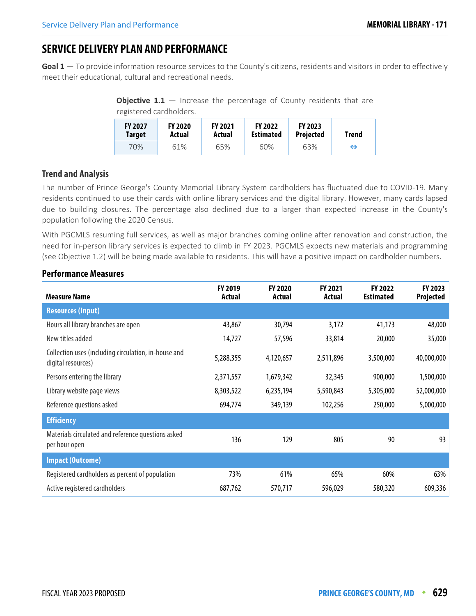# **SERVICE DELIVERY PLAN AND PERFORMANCE**

**Goal 1** — To provide information resource services to the County's citizens, residents and visitors in order to effectively meet their educational, cultural and recreational needs.

**Objective 1.1** – Increase the percentage of County residents that are registered cardholders.

| <b>FY 2027</b><br>Target | <b>FY 2020</b><br>Actual | <b>FY 2021</b><br>Actual | <b>FY 2022</b><br><b>Estimated</b> | <b>FY 2023</b><br><b>Projected</b> | Trend |
|--------------------------|--------------------------|--------------------------|------------------------------------|------------------------------------|-------|
| 70%                      | 61%                      | 65%                      | 60%                                | 63%                                | ⇔     |

## **Trend and Analysis**

The number of Prince George's County Memorial Library System cardholders has fluctuated due to COVID-19. Many residents continued to use their cards with online library services and the digital library. However, many cards lapsed due to building closures. The percentage also declined due to a larger than expected increase in the County's population following the 2020 Census.

With PGCMLS resuming full services, as well as major branches coming online after renovation and construction, the need for in-person library services is expected to climb in FY 2023. PGCMLS expects new materials and programming (see Objective 1.2) will be being made available to residents. This will have a positive impact on cardholder numbers.

| <b>Measure Name</b>                                                        | <b>FY 2019</b><br>Actual | <b>FY 2020</b><br>Actual | <b>FY 2021</b><br>Actual | <b>FY 2022</b><br><b>Estimated</b> | FY 2023<br>Projected |
|----------------------------------------------------------------------------|--------------------------|--------------------------|--------------------------|------------------------------------|----------------------|
| <b>Resources (Input)</b>                                                   |                          |                          |                          |                                    |                      |
| Hours all library branches are open                                        | 43,867                   | 30,794                   | 3,172                    | 41,173                             | 48,000               |
| New titles added                                                           | 14,727                   | 57,596                   | 33,814                   | 20,000                             | 35,000               |
| Collection uses (including circulation, in-house and<br>digital resources) | 5,288,355                | 4,120,657                | 2,511,896                | 3,500,000                          | 40,000,000           |
| Persons entering the library                                               | 2,371,557                | 1,679,342                | 32,345                   | 900,000                            | 1,500,000            |
| Library website page views                                                 | 8,303,522                | 6,235,194                | 5,590,843                | 5,305,000                          | 52,000,000           |
| Reference questions asked                                                  | 694,774                  | 349,139                  | 102,256                  | 250,000                            | 5,000,000            |
| <b>Efficiency</b>                                                          |                          |                          |                          |                                    |                      |
| Materials circulated and reference questions asked<br>per hour open        | 136                      | 129                      | 805                      | 90                                 | 93                   |
| <b>Impact (Outcome)</b>                                                    |                          |                          |                          |                                    |                      |
| Registered cardholders as percent of population                            | 73%                      | 61%                      | 65%                      | 60%                                | 63%                  |
| Active registered cardholders                                              | 687,762                  | 570,717                  | 596,029                  | 580,320                            | 609,336              |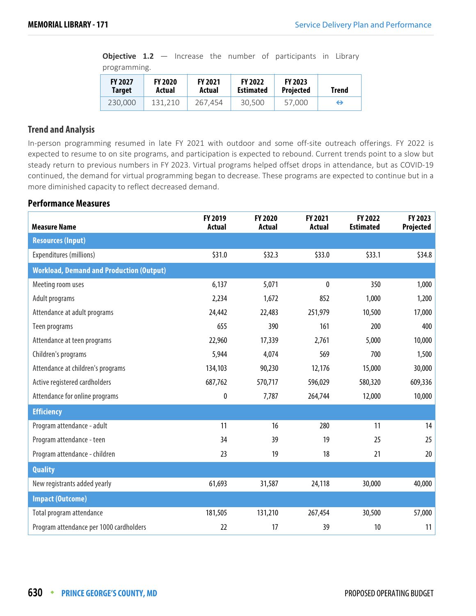|              |  |  |  | <b>Objective 1.2</b> $-$ Increase the number of participants in Library |  |
|--------------|--|--|--|-------------------------------------------------------------------------|--|
| programming. |  |  |  |                                                                         |  |

| <b>FY 2027</b> | <b>FY 2020</b> | <b>FY 2021</b> | <b>FY 2022</b>   | <b>FY 2023</b>   | Trend |
|----------------|----------------|----------------|------------------|------------------|-------|
| <b>Target</b>  | Actual         | Actual         | <b>Estimated</b> | <b>Projected</b> |       |
| 230,000        | 131.210        | 267.454        | 30,500           | 57,000           | ⇔     |

#### **Trend and Analysis**

In-person programming resumed in late FY 2021 with outdoor and some off-site outreach offerings. FY 2022 is expected to resume to on site programs, and participation is expected to rebound. Current trends point to a slow but steady return to previous numbers in FY 2023. Virtual programs helped offset drops in attendance, but as COVID-19 continued, the demand for virtual programming began to decrease. These programs are expected to continue but in a more diminished capacity to reflect decreased demand.

| <b>Measure Name</b>                             | FY 2019<br><b>Actual</b> | FY 2020<br><b>Actual</b> | FY 2021<br><b>Actual</b> | FY 2022<br><b>Estimated</b> | FY 2023<br><b>Projected</b> |
|-------------------------------------------------|--------------------------|--------------------------|--------------------------|-----------------------------|-----------------------------|
| <b>Resources (Input)</b>                        |                          |                          |                          |                             |                             |
| Expenditures (millions)                         | \$31.0                   | \$32.3                   | \$33.0                   | \$33.1                      | \$34.8                      |
| <b>Workload, Demand and Production (Output)</b> |                          |                          |                          |                             |                             |
| Meeting room uses                               | 6,137                    | 5,071                    | $\mathbf{0}$             | 350                         | 1,000                       |
| Adult programs                                  | 2,234                    | 1,672                    | 852                      | 1,000                       | 1,200                       |
| Attendance at adult programs                    | 24,442                   | 22,483                   | 251,979                  | 10,500                      | 17,000                      |
| Teen programs                                   | 655                      | 390                      | 161                      | 200                         | 400                         |
| Attendance at teen programs                     | 22,960                   | 17,339                   | 2,761                    | 5,000                       | 10,000                      |
| Children's programs                             | 5,944                    | 4,074                    | 569                      | 700                         | 1,500                       |
| Attendance at children's programs               | 134,103                  | 90,230                   | 12,176                   | 15,000                      | 30,000                      |
| Active registered cardholders                   | 687,762                  | 570,717                  | 596,029                  | 580,320                     | 609,336                     |
| Attendance for online programs                  | 0                        | 7,787                    | 264,744                  | 12,000                      | 10,000                      |
| <b>Efficiency</b>                               |                          |                          |                          |                             |                             |
| Program attendance - adult                      | 11                       | 16                       | 280                      | 11                          | 14                          |
| Program attendance - teen                       | 34                       | 39                       | 19                       | 25                          | 25                          |
| Program attendance - children                   | 23                       | 19                       | 18                       | 21                          | 20                          |
| <b>Quality</b>                                  |                          |                          |                          |                             |                             |
| New registrants added yearly                    | 61,693                   | 31,587                   | 24,118                   | 30,000                      | 40,000                      |
| <b>Impact (Outcome)</b>                         |                          |                          |                          |                             |                             |
| Total program attendance                        | 181,505                  | 131,210                  | 267,454                  | 30,500                      | 57,000                      |
| Program attendance per 1000 cardholders         | 22                       | 17                       | 39                       | 10                          | 11                          |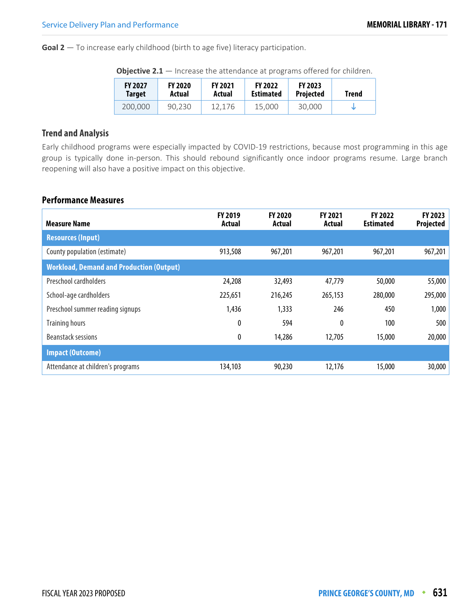**Goal 2** — To increase early childhood (birth to age five) literacy participation.

| <b>Objective 2.1</b> $-$ Increase the attendance at programs offered for children. |                          |                          |                                    |                             |              |  |  |  |  |
|------------------------------------------------------------------------------------|--------------------------|--------------------------|------------------------------------|-----------------------------|--------------|--|--|--|--|
| <b>FY 2027</b><br><b>Target</b>                                                    | <b>FY 2020</b><br>Actual | <b>FY 2021</b><br>Actual | <b>FY 2022</b><br><b>Estimated</b> | <b>FY 2023</b><br>Projected | <b>Trend</b> |  |  |  |  |
| 200,000                                                                            | 90.230                   | 12.176                   | 15,000                             | 30,000                      | J            |  |  |  |  |

## **Trend and Analysis**

Early childhood programs were especially impacted by COVID-19 restrictions, because most programming in this age group is typically done in-person. This should rebound significantly once indoor programs resume. Large branch reopening will also have a positive impact on this objective.

| <b>Measure Name</b>                             | <b>FY 2019</b><br>Actual | FY 2020<br>Actual | <b>FY 2021</b><br>Actual | <b>FY 2022</b><br><b>Estimated</b> | FY 2023<br>Projected |
|-------------------------------------------------|--------------------------|-------------------|--------------------------|------------------------------------|----------------------|
| <b>Resources (Input)</b>                        |                          |                   |                          |                                    |                      |
| County population (estimate)                    | 913,508                  | 967,201           | 967,201                  | 967,201                            | 967,201              |
| <b>Workload, Demand and Production (Output)</b> |                          |                   |                          |                                    |                      |
| Preschool cardholders                           | 24,208                   | 32,493            | 47,779                   | 50,000                             | 55,000               |
| School-age cardholders                          | 225,651                  | 216,245           | 265,153                  | 280,000                            | 295,000              |
| Preschool summer reading signups                | 1,436                    | 1,333             | 246                      | 450                                | 1,000                |
| <b>Training hours</b>                           | 0                        | 594               | 0                        | 100                                | 500                  |
| <b>Beanstack sessions</b>                       | 0                        | 14,286            | 12,705                   | 15,000                             | 20,000               |
| <b>Impact (Outcome)</b>                         |                          |                   |                          |                                    |                      |
| Attendance at children's programs               | 134,103                  | 90,230            | 12,176                   | 15,000                             | 30,000               |